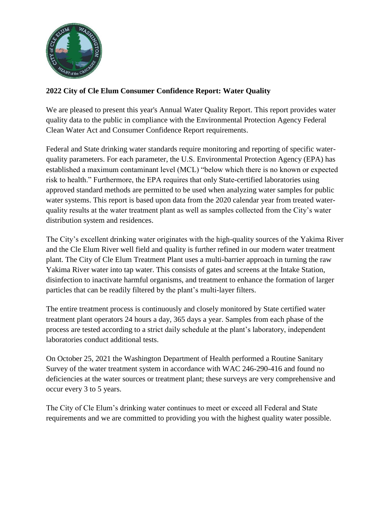

## **2022 City of Cle Elum Consumer Confidence Report: Water Quality**

We are pleased to present this year's Annual Water Quality Report. This report provides water quality data to the public in compliance with the Environmental Protection Agency Federal Clean Water Act and Consumer Confidence Report requirements.

Federal and State drinking water standards require monitoring and reporting of specific waterquality parameters. For each parameter, the U.S. Environmental Protection Agency (EPA) has established a maximum contaminant level (MCL) "below which there is no known or expected risk to health." Furthermore, the EPA requires that only State-certified laboratories using approved standard methods are permitted to be used when analyzing water samples for public water systems. This report is based upon data from the 2020 calendar year from treated waterquality results at the water treatment plant as well as samples collected from the City's water distribution system and residences.

The City's excellent drinking water originates with the high-quality sources of the Yakima River and the Cle Elum River well field and quality is further refined in our modern water treatment plant. The City of Cle Elum Treatment Plant uses a multi-barrier approach in turning the raw Yakima River water into tap water. This consists of gates and screens at the Intake Station, disinfection to inactivate harmful organisms, and treatment to enhance the formation of larger particles that can be readily filtered by the plant's multi-layer filters.

The entire treatment process is continuously and closely monitored by State certified water treatment plant operators 24 hours a day, 365 days a year. Samples from each phase of the process are tested according to a strict daily schedule at the plant's laboratory, independent laboratories conduct additional tests.

On October 25, 2021 the Washington Department of Health performed a Routine Sanitary Survey of the water treatment system in accordance with WAC 246-290-416 and found no deficiencies at the water sources or treatment plant; these surveys are very comprehensive and occur every 3 to 5 years.

The City of Cle Elum's drinking water continues to meet or exceed all Federal and State requirements and we are committed to providing you with the highest quality water possible.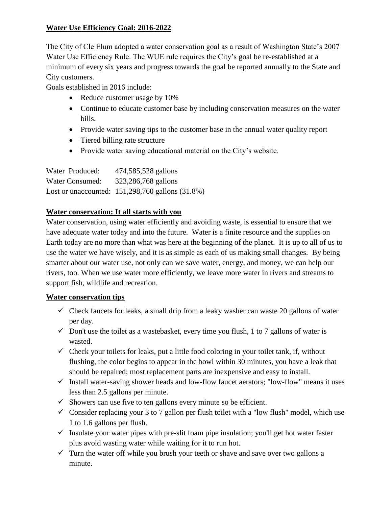# **Water Use Efficiency Goal: 2016-2022**

The City of Cle Elum adopted a water conservation goal as a result of Washington State's 2007 Water Use Efficiency Rule. The WUE rule requires the City's goal be re-established at a minimum of every six years and progress towards the goal be reported annually to the State and City customers.

Goals established in 2016 include:

- Reduce customer usage by 10%
- Continue to educate customer base by including conservation measures on the water bills.
- Provide water saving tips to the customer base in the annual water quality report
- Tiered billing rate structure
- Provide water saving educational material on the City's website.

| Water Produced: | 474,585,528 gallons                              |
|-----------------|--------------------------------------------------|
| Water Consumed: | 323,286,768 gallons                              |
|                 | Lost or unaccounted: 151,298,760 gallons (31.8%) |

## **Water conservation: It all starts with you**

Water conservation, using water efficiently and avoiding waste, is essential to ensure that we have adequate water today and into the future. Water is a finite resource and the supplies on Earth today are no more than what was here at the beginning of the planet. It is up to all of us to use the water we have wisely, and it is as simple as each of us making small changes. By being smarter about our water use, not only can we save water, energy, and money, we can help our rivers, too. When we use water more efficiently, we leave more water in rivers and streams to support fish, wildlife and recreation.

## **Water conservation tips**

- $\checkmark$  Check faucets for leaks, a small drip from a leaky washer can waste 20 gallons of water per day.
- $\checkmark$  Don't use the toilet as a wastebasket, every time you flush, 1 to 7 gallons of water is wasted.
- $\checkmark$  Check your toilets for leaks, put a little food coloring in your toilet tank, if, without flushing, the color begins to appear in the bowl within 30 minutes, you have a leak that should be repaired; most replacement parts are inexpensive and easy to install.
- $\checkmark$  Install water-saving shower heads and low-flow faucet aerators; "low-flow" means it uses less than 2.5 gallons per minute.
- $\checkmark$  Showers can use five to ten gallons every minute so be efficient.
- $\checkmark$  Consider replacing your 3 to 7 gallon per flush toilet with a "low flush" model, which use 1 to 1.6 gallons per flush.
- $\checkmark$  Insulate your water pipes with pre-slit foam pipe insulation; you'll get hot water faster plus avoid wasting water while waiting for it to run hot.
- $\checkmark$  Turn the water off while you brush your teeth or shave and save over two gallons a minute.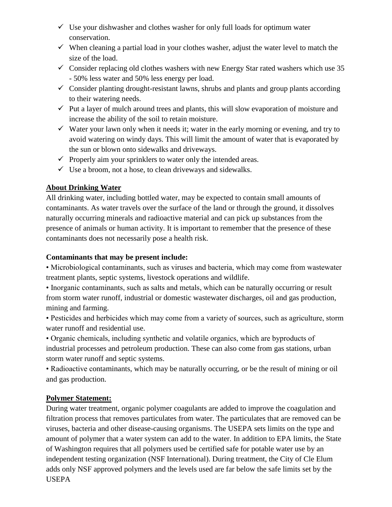- $\checkmark$  Use your dishwasher and clothes washer for only full loads for optimum water conservation.
- $\checkmark$  When cleaning a partial load in your clothes washer, adjust the water level to match the size of the load.
- $\checkmark$  Consider replacing old clothes washers with new Energy Star rated washers which use 35 - 50% less water and 50% less energy per load.
- $\checkmark$  Consider planting drought-resistant lawns, shrubs and plants and group plants according to their watering needs.
- $\checkmark$  Put a layer of mulch around trees and plants, this will slow evaporation of moisture and increase the ability of the soil to retain moisture.
- $\checkmark$  Water your lawn only when it needs it; water in the early morning or evening, and try to avoid watering on windy days. This will limit the amount of water that is evaporated by the sun or blown onto sidewalks and driveways.
- $\checkmark$  Properly aim your sprinklers to water only the intended areas.
- $\checkmark$  Use a broom, not a hose, to clean driveways and sidewalks.

# **About Drinking Water**

All drinking water, including bottled water, may be expected to contain small amounts of contaminants. As water travels over the surface of the land or through the ground, it dissolves naturally occurring minerals and radioactive material and can pick up substances from the presence of animals or human activity. It is important to remember that the presence of these contaminants does not necessarily pose a health risk.

## **Contaminants that may be present include:**

• Microbiological contaminants, such as viruses and bacteria, which may come from wastewater treatment plants, septic systems, livestock operations and wildlife.

• Inorganic contaminants, such as salts and metals, which can be naturally occurring or result from storm water runoff, industrial or domestic wastewater discharges, oil and gas production, mining and farming.

• Pesticides and herbicides which may come from a variety of sources, such as agriculture, storm water runoff and residential use.

• Organic chemicals, including synthetic and volatile organics, which are byproducts of industrial processes and petroleum production. These can also come from gas stations, urban storm water runoff and septic systems.

• Radioactive contaminants, which may be naturally occurring, or be the result of mining or oil and gas production.

# **Polymer Statement:**

During water treatment, organic polymer coagulants are added to improve the coagulation and filtration process that removes particulates from water. The particulates that are removed can be viruses, bacteria and other disease-causing organisms. The USEPA sets limits on the type and amount of polymer that a water system can add to the water. In addition to EPA limits, the State of Washington requires that all polymers used be certified safe for potable water use by an independent testing organization (NSF International). During treatment, the City of Cle Elum adds only NSF approved polymers and the levels used are far below the safe limits set by the USEPA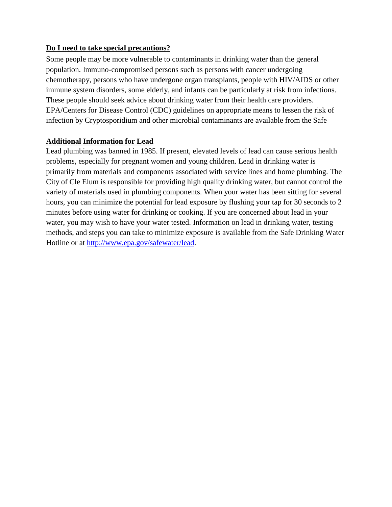## **Do I need to take special precautions?**

Some people may be more vulnerable to contaminants in drinking water than the general population. Immuno-compromised persons such as persons with cancer undergoing chemotherapy, persons who have undergone organ transplants, people with HIV/AIDS or other immune system disorders, some elderly, and infants can be particularly at risk from infections. These people should seek advice about drinking water from their health care providers. EPA/Centers for Disease Control (CDC) guidelines on appropriate means to lessen the risk of infection by Cryptosporidium and other microbial contaminants are available from the Safe

## **Additional Information for Lead**

Lead plumbing was banned in 1985. If present, elevated levels of lead can cause serious health problems, especially for pregnant women and young children. Lead in drinking water is primarily from materials and components associated with service lines and home plumbing. The City of Cle Elum is responsible for providing high quality drinking water, but cannot control the variety of materials used in plumbing components. When your water has been sitting for several hours, you can minimize the potential for lead exposure by flushing your tap for 30 seconds to 2 minutes before using water for drinking or cooking. If you are concerned about lead in your water, you may wish to have your water tested. Information on lead in drinking water, testing methods, and steps you can take to minimize exposure is available from the Safe Drinking Water Hotline or at [http://www.epa.gov/safewater/lead.](http://www.epa.gov/safewater/lead)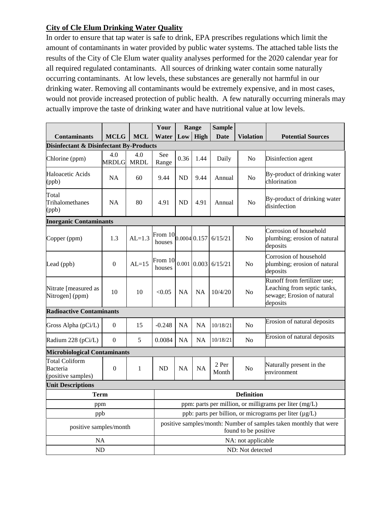# **City of Cle Elum Drinking Water Quality**

In order to ensure that tap water is safe to drink, EPA prescribes regulations which limit the amount of contaminants in water provided by public water systems. The attached table lists the results of the City of Cle Elum water quality analyses performed for the 2020 calendar year for all required regulated contaminants. All sources of drinking water contain some naturally occurring contaminants. At low levels, these substances are generally not harmful in our drinking water. Removing all contaminants would be extremely expensive, and in most cases, would not provide increased protection of public health. A few naturally occurring minerals may actually improve the taste of drinking water and have nutritional value at low levels.

|                                                         |                     |                                                        | Your                                                                                      |                    | Range          | <b>Sample</b>  |                  |                                                                                                      |  |
|---------------------------------------------------------|---------------------|--------------------------------------------------------|-------------------------------------------------------------------------------------------|--------------------|----------------|----------------|------------------|------------------------------------------------------------------------------------------------------|--|
| <b>Contaminants</b>                                     | <b>MCLG</b>         | <b>MCL</b>                                             | Water                                                                                     | Low                | High           | <b>Date</b>    | <b>Violation</b> | <b>Potential Sources</b>                                                                             |  |
| <b>Disinfectant &amp; Disinfectant By-Products</b>      |                     |                                                        |                                                                                           |                    |                |                |                  |                                                                                                      |  |
| Chlorine (ppm)                                          | 4.0<br><b>MRDLG</b> | 4.0<br><b>MRDL</b>                                     | See<br>Range                                                                              | 0.36               | 1.44           | Daily          | No               | Disinfection agent                                                                                   |  |
| Haloacetic Acids<br>(ppb)                               | NA                  | 60                                                     | 9.44                                                                                      | <b>ND</b>          | 9.44           | Annual         | N <sub>0</sub>   | By-product of drinking water<br>chlorination                                                         |  |
| Total<br>Trihalomethanes<br>(ppb)                       | <b>NA</b>           | 80                                                     | 4.91                                                                                      | <b>ND</b>          | 4.91           | Annual         | No               | By-product of drinking water<br>disinfection                                                         |  |
| <b>Inorganic Contaminants</b>                           |                     |                                                        |                                                                                           |                    |                |                |                  |                                                                                                      |  |
| Copper (ppm)                                            | 1.3                 | $AL=1.3$                                               | From 10<br>houses                                                                         |                    | $0.0004$ 0.157 | 6/15/21        | N <sub>o</sub>   | Corrosion of household<br>plumbing; erosion of natural<br>deposits                                   |  |
| Lead (ppb)                                              | $\boldsymbol{0}$    | $AL=15$                                                | From $10 _{0.001} _{0.003} $ 6/15/21<br>houses                                            |                    |                |                | No               | Corrosion of household<br>plumbing; erosion of natural<br>deposits                                   |  |
| Nitrate [measured as<br>Nitrogen] (ppm)                 | 10                  | 10                                                     | < 0.05                                                                                    | <b>NA</b>          | <b>NA</b>      | 10/4/20        | N <sub>o</sub>   | Runoff from fertilizer use;<br>Leaching from septic tanks,<br>sewage; Erosion of natural<br>deposits |  |
| <b>Radioactive Contaminants</b>                         |                     |                                                        |                                                                                           |                    |                |                |                  |                                                                                                      |  |
| Gross Alpha (pCi/L)                                     | $\overline{0}$      | 15                                                     | $-0.248$                                                                                  | <b>NA</b>          | <b>NA</b>      | 10/18/21       | N <sub>o</sub>   | Erosion of natural deposits                                                                          |  |
| Radium 228 (pCi/L)                                      | $\Omega$            | 5                                                      | 0.0084                                                                                    | <b>NA</b>          | NA             | 10/18/21       | No               | Erosion of natural deposits                                                                          |  |
| <b>Microbiological Contaminants</b>                     |                     |                                                        |                                                                                           |                    |                |                |                  |                                                                                                      |  |
| <b>Total Coliform</b><br>Bacteria<br>(positive samples) | $\boldsymbol{0}$    | $\mathbf{1}$                                           | <b>ND</b>                                                                                 | NA                 | <b>NA</b>      | 2 Per<br>Month | No               | Naturally present in the<br>environment                                                              |  |
| <b>Unit Descriptions</b>                                |                     |                                                        |                                                                                           |                    |                |                |                  |                                                                                                      |  |
| Term                                                    |                     |                                                        | <b>Definition</b>                                                                         |                    |                |                |                  |                                                                                                      |  |
| ppm                                                     |                     |                                                        | ppm: parts per million, or milligrams per liter (mg/L)                                    |                    |                |                |                  |                                                                                                      |  |
| ppb                                                     |                     | ppb: parts per billion, or micrograms per liter (µg/L) |                                                                                           |                    |                |                |                  |                                                                                                      |  |
| positive samples/month                                  |                     |                                                        | positive samples/month: Number of samples taken monthly that were<br>found to be positive |                    |                |                |                  |                                                                                                      |  |
| <b>NA</b>                                               |                     |                                                        |                                                                                           | NA: not applicable |                |                |                  |                                                                                                      |  |
| <b>ND</b>                                               |                     |                                                        |                                                                                           | ND: Not detected   |                |                |                  |                                                                                                      |  |